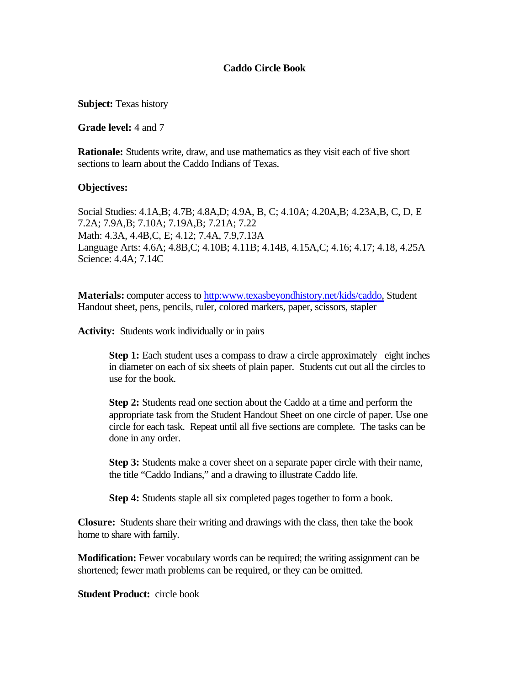# **Caddo Circle Book**

**Subject:** Texas history

**Grade level:** 4 and 7

**Rationale:** Students write, draw, and use mathematics as they visit each of five short sections to learn about the Caddo Indians of Texas.

#### **Objectives:**

Social Studies: 4.1A,B; 4.7B; 4.8A,D; 4.9A, B, C; 4.10A; 4.20A,B; 4.23A,B, C, D, E 7.2A; 7.9A,B; 7.10A; 7.19A,B; 7.21A; 7.22 Math: 4.3A, 4.4B,C, E; 4.12; 7.4A, 7.9,7.13A Language Arts: 4.6A; 4.8B,C; 4.10B; 4.11B; 4.14B, 4.15A,C; 4.16; 4.17; 4.18, 4.25A Science: 4.4A; 7.14C

**Materials:** computer access to [http:www.texasbeyondhistory.net/kids/caddo,](http://www.texasbeyondhistory.net/kids/caddo/index.html) Student Handout sheet, pens, pencils, ruler, colored markers, paper, scissors, stapler

**Activity:** Students work individually or in pairs

**Step 1:** Each student uses a compass to draw a circle approximately eight inches in diameter on each of six sheets of plain paper. Students cut out all the circles to use for the book.

**Step 2:** Students read one section about the Caddo at a time and perform the appropriate task from the Student Handout Sheet on one circle of paper. Use one circle for each task. Repeat until all five sections are complete. The tasks can be done in any order.

**Step 3:** Students make a cover sheet on a separate paper circle with their name, the title "Caddo Indians," and a drawing to illustrate Caddo life.

**Step 4:** Students staple all six completed pages together to form a book.

**Closure:** Students share their writing and drawings with the class, then take the book home to share with family.

**Modification:** Fewer vocabulary words can be required; the writing assignment can be shortened; fewer math problems can be required, or they can be omitted.

**Student Product:** circle book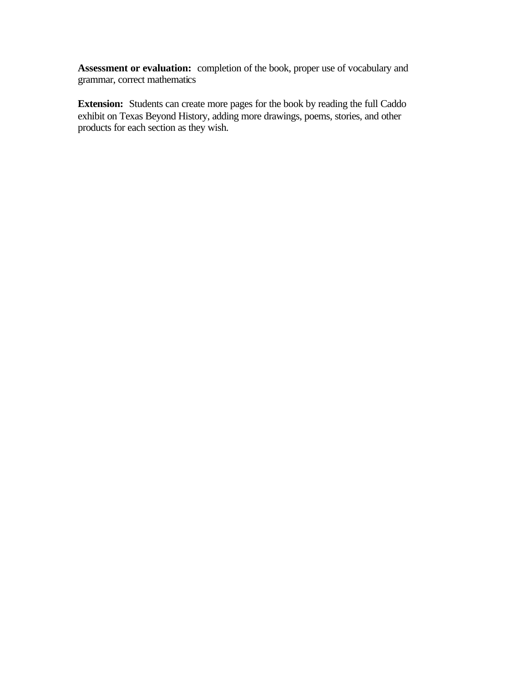**Assessment or evaluation:** completion of the book, proper use of vocabulary and grammar, correct mathematics

**Extension:** Students can create more pages for the book by reading the full Caddo exhibit on Texas Beyond History, adding more drawings, poems, stories, and other products for each section as they wish.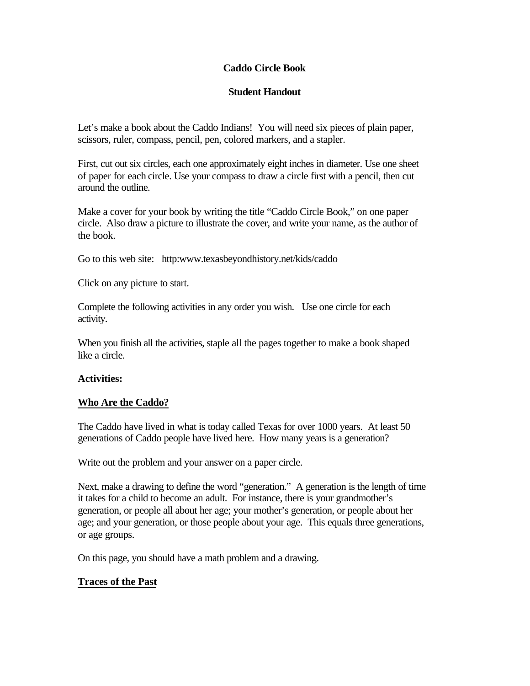# **Caddo Circle Book**

# **Student Handout**

Let's make a book about the Caddo Indians! You will need six pieces of plain paper, scissors, ruler, compass, pencil, pen, colored markers, and a stapler.

First, cut out six circles, each one approximately eight inches in diameter. Use one sheet of paper for each circle. Use your compass to draw a circle first with a pencil, then cut around the outline.

Make a cover for your book by writing the title "Caddo Circle Book," on one paper circle. Also draw a picture to illustrate the cover, and write your name, as the author of the book.

Go to this web site: http:www.texasbeyondhistory.net/kids/caddo

Click on any picture to start.

Complete the following activities in any order you wish. Use one circle for each activity.

When you finish all the activities, staple all the pages together to make a book shaped like a circle.

# **Activities:**

# **Who Are the Caddo?**

The Caddo have lived in what is today called Texas for over 1000 years. At least 50 generations of Caddo people have lived here. How many years is a generation?

Write out the problem and your answer on a paper circle.

Next, make a drawing to define the word "generation." A generation is the length of time it takes for a child to become an adult. For instance, there is your grandmother's generation, or people all about her age; your mother's generation, or people about her age; and your generation, or those people about your age. This equals three generations, or age groups.

On this page, you should have a math problem and a drawing.

# **Traces of the Past**